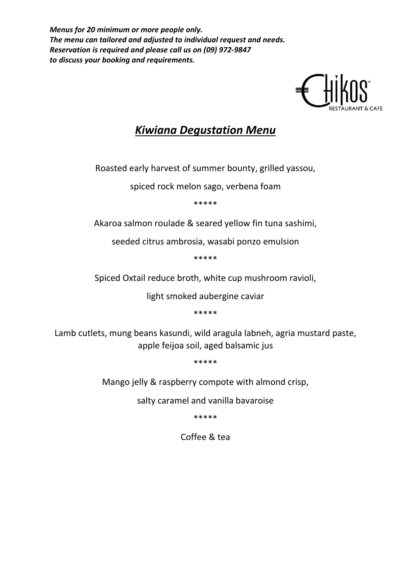*Menus for 20 minimum or more people only. The menu can tailored and adjusted to individual request and needs. Reservation is required and please call us on (09) 972-9847 to discuss your booking and requirements.*



### *Kiwiana Degustation Menu*

Roasted early harvest of summer bounty, grilled yassou,

spiced rock melon sago, verbena foam

\*\*\*\*\*

Akaroa salmon roulade & seared yellow fin tuna sashimi,

seeded citrus ambrosia, wasabi ponzo emulsion

\*\*\*\*\*

Spiced Oxtail reduce broth, white cup mushroom ravioli,

light smoked aubergine caviar

\*\*\*\*\*

Lamb cutlets, mung beans kasundi, wild aragula labneh, agria mustard paste, apple feijoa soil, aged balsamic jus

\*\*\*\*\*

Mango jelly & raspberry compote with almond crisp,

salty caramel and vanilla bavaroise

\*\*\*\*\*

Coffee & tea